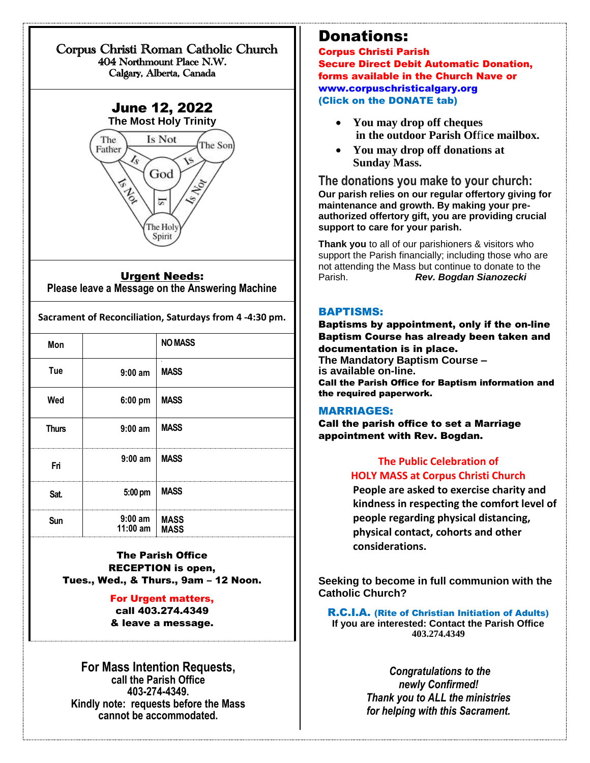#### Corpus Christi Roman Catholic Church 404 Northmount Place N.W. Calgary, Alberta, Canada



#### Urgent Needs:

**Please leave a Message on the Answering Machine**

|                       | <b>NO MASS</b>                |
|-----------------------|-------------------------------|
| $9:00$ am             | $\blacksquare$<br><b>MASS</b> |
| 6:00 pm               | <b>MASS</b>                   |
| $9:00$ am             | <b>MASS</b>                   |
| $9:00$ am             | <b>MASS</b>                   |
| 5:00 pm               | <b>MASS</b>                   |
| $9:00$ am<br>11:00 am | <b>MASS</b><br><b>MASS</b>    |
|                       |                               |

The Parish Office RECEPTION is open, Tues., Wed., & Thurs., 9am – 12 Noon.

#### For Urgent matters, call 403.274.4349 & leave a message.

**For Mass Intention Requests, call the Parish Office 403-274-4349. Kindly note: requests before the Mass cannot be accommodated.**

## Donations:

Corpus Christi Parish Secure Direct Debit Automatic Donation, forms available in the Church Nave or [www.corpuschristicalgary.org](http://www.corpuschristicalgary.org/) (Click on the DONATE tab)

- **You may drop off cheques in the outdoor Parish Of**fi**ce mailbox.**
- **You may drop off donations at Sunday Mass.**

**The donations you make to your church: Our parish relies on our regular offertory giving for maintenance and growth. By making your preauthorized offertory gift, you are providing crucial support to care for your parish.**

**Thank you** to all of our parishioners & visitors who support the Parish financially; including those who are not attending the Mass but continue to donate to the Parish. *Rev. Bogdan Sianozecki*

#### BAPTISMS:

Baptisms by appointment, only if the on-line Baptism Course has already been taken and documentation is in place. **The Mandatory Baptism Course – is available on-line.**  Call the Parish Office for Baptism information and the required paperwork.

#### MARRIAGES:

Call the parish office to set a Marriage appointment with Rev. Bogdan.

## **The Public Celebration of HOLY MASS at Corpus Christi Church**

**People are asked to exercise charity and kindness in respecting the comfort level of people regarding physical distancing, physical contact, cohorts and other considerations.**

**Seeking to become in full communion with the Catholic Church?**

R.C.I.A. (Rite of Christian Initiation of Adults) **If you are interested: Contact the Parish Office 403.274.4349**

> *Congratulations to the newly Confirmed! Thank you to ALL the ministries for helping with this Sacrament.*